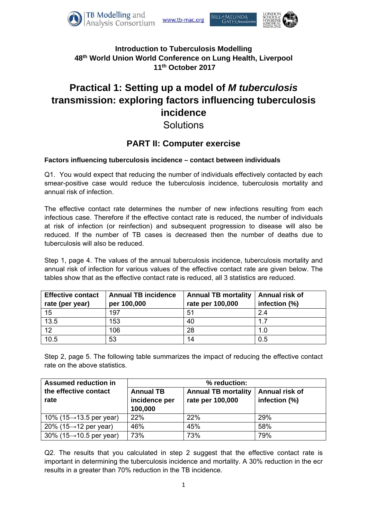

81LL&MELINDA



### **Introduction to Tuberculosis Modelling 48th World Union World Conference on Lung Health, Liverpool 11th October 2017**

# **Practical 1: Setting up a model of** *M tuberculosis* **transmission: exploring factors influencing tuberculosis incidence**

## **Solutions**

## **PART II: Computer exercise**

#### **Factors influencing tuberculosis incidence – contact between individuals**

Q1. You would expect that reducing the number of individuals effectively contacted by each smear-positive case would reduce the tuberculosis incidence, tuberculosis mortality and annual risk of infection.

The effective contact rate determines the number of new infections resulting from each infectious case. Therefore if the effective contact rate is reduced, the number of individuals at risk of infection (or reinfection) and subsequent progression to disease will also be reduced. If the number of TB cases is decreased then the number of deaths due to tuberculosis will also be reduced.

Step 1, page 4. The values of the annual tuberculosis incidence, tuberculosis mortality and annual risk of infection for various values of the effective contact rate are given below. The tables show that as the effective contact rate is reduced, all 3 statistics are reduced.

| <b>Effective contact</b><br>rate (per year) | <b>Annual TB incidence</b><br>per 100,000 | <b>Annual TB mortality</b><br>rate per 100,000 | Annual risk of<br>infection (%) |
|---------------------------------------------|-------------------------------------------|------------------------------------------------|---------------------------------|
| 15                                          | 197                                       | 51                                             | 2.4                             |
| 13.5                                        | 153                                       | 40                                             | 1.7                             |
| $\overline{12}$                             | 106                                       | 28                                             | 1.0                             |
| 10.5                                        | 53                                        | 14                                             | 0.5                             |

Step 2, page 5. The following table summarizes the impact of reducing the effective contact rate on the above statistics.

| <b>Assumed reduction in</b>          | % reduction:                                 |                                                |                                 |  |
|--------------------------------------|----------------------------------------------|------------------------------------------------|---------------------------------|--|
| the effective contact<br>rate        | <b>Annual TB</b><br>incidence per<br>100,000 | <b>Annual TB mortality</b><br>rate per 100,000 | Annual risk of<br>infection (%) |  |
| 10% (15 $\rightarrow$ 13.5 per year) | 22%                                          | 22%                                            | 29%                             |  |
| 20% (15 $\rightarrow$ 12 per year)   | 46%                                          | 45%                                            | 58%                             |  |
| 30% (15 $\rightarrow$ 10.5 per year) | 73%                                          | 73%                                            | 79%                             |  |

Q2. The results that you calculated in step 2 suggest that the effective contact rate is important in determining the tuberculosis incidence and mortality. A 30% reduction in the ecr results in a greater than 70% reduction in the TB incidence.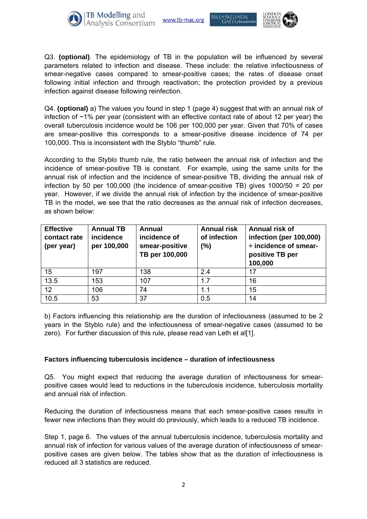

www.tb-mac.org

Bill&MELINDA **GATFS** foundat.



Q3. **(optional)**. The epidemiology of TB in the population will be influenced by several parameters related to infection and disease. These include: the relative infectiousness of smear-negative cases compared to smear-positive cases; the rates of disease onset following initial infection and through reactivation; the protection provided by a previous infection against disease following reinfection.

Q4. **(optional)** a) The values you found in step 1 (page 4) suggest that with an annual risk of infection of ~1% per year (consistent with an effective contact rate of about 12 per year) the overall tuberculosis incidence would be 106 per 100,000 per year. Given that 70% of cases are smear-positive this corresponds to a smear-positive disease incidence of 74 per 100,000. This is inconsistent with the Styblo "thumb" rule.

According to the Styblo thumb rule, the ratio between the annual risk of infection and the incidence of smear-positive TB is constant. For example, using the same units for the annual risk of infection and the incidence of smear-positive TB, dividing the annual risk of infection by 50 per 100,000 (the incidence of smear-positive TB) gives 1000/50 = 20 per year. However, if we divide the annual risk of infection by the incidence of smear-positive TB in the model, we see that the ratio decreases as the annual risk of infection decreases, as shown below:

| <b>Effective</b><br>contact rate<br>(per year) | <b>Annual TB</b><br>incidence<br>per 100,000 | <b>Annual</b><br>incidence of<br>smear-positive<br>TB per 100,000 | <b>Annual risk</b><br>of infection<br>(%) | Annual risk of<br>infection (per 100,000)<br>÷ incidence of smear-<br>positive TB per<br>100,000 |
|------------------------------------------------|----------------------------------------------|-------------------------------------------------------------------|-------------------------------------------|--------------------------------------------------------------------------------------------------|
| 15                                             | 197                                          | 138                                                               | 2.4                                       | 17                                                                                               |
| 13.5                                           | 153                                          | 107                                                               | 1.7                                       | 16                                                                                               |
| 12 <sub>2</sub>                                | 106                                          | 74                                                                | 1.1                                       | 15                                                                                               |
| 10.5                                           | 53                                           | 37                                                                | 0.5                                       | 14                                                                                               |

b) Factors influencing this relationship are the duration of infectiousness (assumed to be 2 years in the Styblo rule) and the infectiousness of smear-negative cases (assumed to be zero). For further discussion of this rule, please read van Leth et al[1].

#### **Factors influencing tuberculosis incidence – duration of infectiousness**

Q5. You might expect that reducing the average duration of infectiousness for smearpositive cases would lead to reductions in the tuberculosis incidence, tuberculosis mortality and annual risk of infection.

Reducing the duration of infectiousness means that each smear-positive cases results in fewer new infections than they would do previously, which leads to a reduced TB incidence.

Step 1, page 6. The values of the annual tuberculosis incidence, tuberculosis mortality and annual risk of infection for various values of the average duration of infectiousness of smearpositive cases are given below. The tables show that as the duration of infectiousness is reduced all 3 statistics are reduced.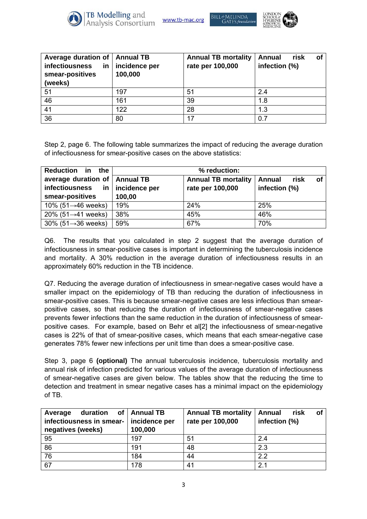

www.tb-mac.org

Bill&MELINDA



| Average duration of<br><b>infectiousness</b><br>in<br>smear-positives<br>(weeks) | <b>Annual TB</b><br>incidence per<br>100,000 | <b>Annual TB mortality</b><br>rate per 100,000 | risk<br><b>Annual</b><br>οt<br>infection (%) |
|----------------------------------------------------------------------------------|----------------------------------------------|------------------------------------------------|----------------------------------------------|
| 51                                                                               | 197                                          | 51                                             | 2.4                                          |
| 46                                                                               | 161                                          | 39                                             | 1.8                                          |
| 41                                                                               | 122                                          | 28                                             | 1.3                                          |
| $\overline{36}$                                                                  | 80                                           | 17                                             | 0.7                                          |

Step 2, page 6. The following table summarizes the impact of reducing the average duration of infectiousness for smear-positive cases on the above statistics:

| <b>Reduction</b><br>in the         | $%$ reduction:                                                   |                  |               |  |
|------------------------------------|------------------------------------------------------------------|------------------|---------------|--|
| average duration of                | <b>Annual TB</b><br><b>Annual TB mortality</b><br>Annual<br>risk |                  |               |  |
| infectiousness<br>in               | incidence per                                                    | rate per 100,000 | infection (%) |  |
| smear-positives                    | 100,00                                                           |                  |               |  |
| 10% (51 $\rightarrow$ 46 weeks)    | 19%                                                              | 24%              | 25%           |  |
| 20% (51 $\rightarrow$ 41 weeks)    | 38%                                                              | 45%              | 46%           |  |
| $30\%$ (51 $\rightarrow$ 36 weeks) | 59%                                                              | 67%              | 70%           |  |

Q6. The results that you calculated in step 2 suggest that the average duration of infectiousness in smear-positive cases is important in determining the tuberculosis incidence and mortality. A 30% reduction in the average duration of infectiousness results in an approximately 60% reduction in the TB incidence.

Q7. Reducing the average duration of infectiousness in smear-negative cases would have a smaller impact on the epidemiology of TB than reducing the duration of infectiousness in smear-positive cases. This is because smear-negative cases are less infectious than smearpositive cases, so that reducing the duration of infectiousness of smear-negative cases prevents fewer infections than the same reduction in the duration of infectiousness of smearpositive cases. For example, based on Behr et al[2] the infectiousness of smear-negative cases is 22% of that of smear-positive cases, which means that each smear-negative case generates 78% fewer new infections per unit time than does a smear-positive case.

Step 3, page 6 **(optional)** The annual tuberculosis incidence, tuberculosis mortality and annual risk of infection predicted for various values of the average duration of infectiousness of smear-negative cases are given below. The tables show that the reducing the time to detection and treatment in smear negative cases has a minimal impact on the epidemiology of TB.

| duration of   Annual TB<br>Average<br>infectiousness in smear-<br>negatives (weeks) | incidence per<br>100,000 | <b>Annual TB mortality</b><br>rate per 100,000 | risk<br><b>Annual</b><br>οf<br>infection (%) |
|-------------------------------------------------------------------------------------|--------------------------|------------------------------------------------|----------------------------------------------|
| 95                                                                                  | 197                      | 51                                             | 2.4                                          |
| 86                                                                                  | 191                      | 48                                             | 2.3                                          |
| 76                                                                                  | 184                      | 44                                             | 2.2                                          |
| 67                                                                                  | 178                      | 41                                             | 2.1                                          |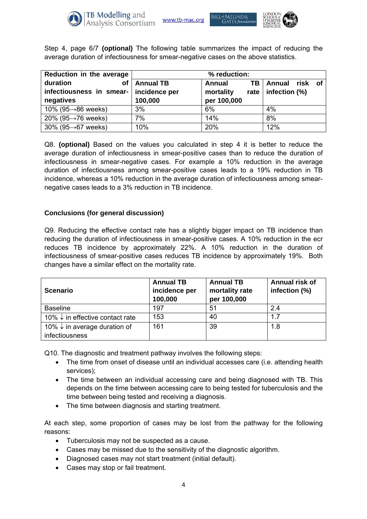

www.tb-mac.org

Bill&MELINDA

**GATFS** founda



Step 4, page 6/7 **(optional)** The following table summarizes the impact of reducing the average duration of infectiousness for smear-negative cases on the above statistics.

| Reduction in the average           | % reduction:     |              |                         |  |
|------------------------------------|------------------|--------------|-------------------------|--|
| duration<br>οf                     | <b>Annual TB</b> | TВ<br>Annual | Annual<br>risk of       |  |
| infectiousness in smear-           | incidence per    | mortality    | rate   infection $(\%)$ |  |
| negatives                          | 100,000          | per 100,000  |                         |  |
| 10% (95 $\rightarrow$ 86 weeks)    | 3%               | 6%           | 4%                      |  |
| 20% (95 $\rightarrow$ 76 weeks)    | 7%               | 14%          | 8%                      |  |
| $30\%$ (95 $\rightarrow$ 67 weeks) | 10%              | 20%          | 12%                     |  |

Q8. **(optional)** Based on the values you calculated in step 4 it is better to reduce the average duration of infectiousness in smear-positive cases than to reduce the duration of infectiousness in smear-negative cases. For example a 10% reduction in the average duration of infectiousness among smear-positive cases leads to a 19% reduction in TB incidence, whereas a 10% reduction in the average duration of infectiousness among smearnegative cases leads to a 3% reduction in TB incidence.

#### **Conclusions (for general discussion)**

Q9. Reducing the effective contact rate has a slightly bigger impact on TB incidence than reducing the duration of infectiousness in smear-positive cases. A 10% reduction in the ecr reduces TB incidence by approximately 22%. A 10% reduction in the duration of infectiousness of smear-positive cases reduces TB incidence by approximately 19%. Both changes have a similar effect on the mortality rate.

| <b>Scenario</b>                                           | <b>Annual TB</b><br>incidence per<br>100,000 | <b>Annual TB</b><br>mortality rate<br>per 100,000 | Annual risk of<br>infection (%) |
|-----------------------------------------------------------|----------------------------------------------|---------------------------------------------------|---------------------------------|
| <b>Baseline</b>                                           | 197                                          | 51                                                | 2.4                             |
| 10% $\downarrow$ in effective contact rate                | 153                                          | 40                                                | 1.7                             |
| 10% $\downarrow$ in average duration of<br>infectiousness | 161                                          | 39                                                | 1.8                             |

Q10. The diagnostic and treatment pathway involves the following steps:

- The time from onset of disease until an individual accesses care (i.e. attending health services);
- The time between an individual accessing care and being diagnosed with TB. This depends on the time between accessing care to being tested for tuberculosis and the time between being tested and receiving a diagnosis.
- The time between diagnosis and starting treatment.

At each step, some proportion of cases may be lost from the pathway for the following reasons:

- Tuberculosis may not be suspected as a cause.
- Cases may be missed due to the sensitivity of the diagnostic algorithm.
- Diagnosed cases may not start treatment (initial default).
- Cases may stop or fail treatment.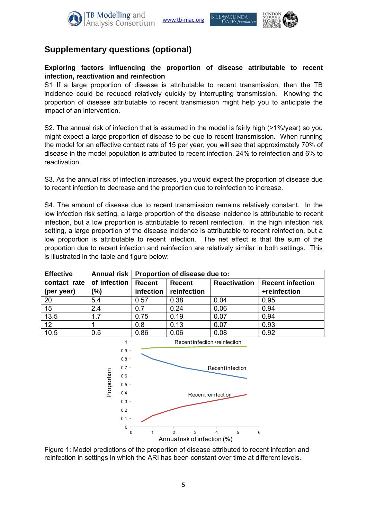





## **Supplementary questions (optional)**

#### **Exploring factors influencing the proportion of disease attributable to recent infection, reactivation and reinfection**

S1 If a large proportion of disease is attributable to recent transmission, then the TB incidence could be reduced relatively quickly by interrupting transmission. Knowing the proportion of disease attributable to recent transmission might help you to anticipate the impact of an intervention.

S2. The annual risk of infection that is assumed in the model is fairly high (>1%/year) so you might expect a large proportion of disease to be due to recent transmission. When running the model for an effective contact rate of 15 per year, you will see that approximately 70% of disease in the model population is attributed to recent infection, 24% to reinfection and 6% to reactivation.

S3. As the annual risk of infection increases, you would expect the proportion of disease due to recent infection to decrease and the proportion due to reinfection to increase.

S4. The amount of disease due to recent transmission remains relatively constant. In the low infection risk setting, a large proportion of the disease incidence is attributable to recent infection, but a low proportion is attributable to recent reinfection. In the high infection risk setting, a large proportion of the disease incidence is attributable to recent reinfection, but a low proportion is attributable to recent infection. The net effect is that the sum of the proportion due to recent infection and reinfection are relatively similar in both settings. This is illustrated in the table and figure below:

| <b>Effective</b> | Annual risk  | Proportion of disease due to: |                                                                 |      |              |
|------------------|--------------|-------------------------------|-----------------------------------------------------------------|------|--------------|
| contact rate     | of infection | Recent                        | <b>Reactivation</b><br><b>Recent</b><br><b>Recent infection</b> |      |              |
| (per year)       | (%)          | infection                     | reinfection                                                     |      | +reinfection |
| 20               | 5.4          | 0.57                          | 0.38                                                            | 0.04 | 0.95         |
| $\overline{15}$  | 2.4          | 0.7                           | 0.24                                                            | 0.06 | 0.94         |
| 13.5             | 1.7          | 0.75                          | 0.19                                                            | 0.07 | 0.94         |
| 12               |              | 0.8                           | 0.13                                                            | 0.07 | 0.93         |
| 10.5             | 0.5          | 0.86                          | 0.06                                                            | 0.08 | 0.92         |



Figure 1: Model predictions of the proportion of disease attributed to recent infection and reinfection in settings in which the ARI has been constant over time at different levels.